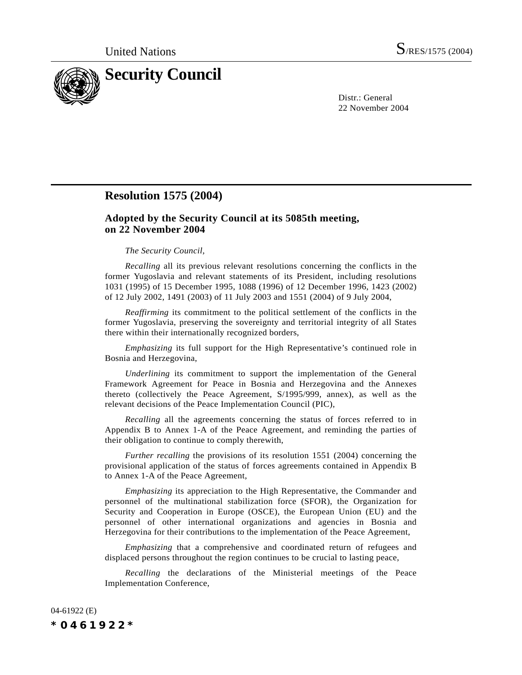

Distr.: General 22 November 2004

## **Resolution 1575 (2004)**

## **Adopted by the Security Council at its 5085th meeting, on 22 November 2004**

## *The Security Council*,

*Recalling* all its previous relevant resolutions concerning the conflicts in the former Yugoslavia and relevant statements of its President, including resolutions 1031 (1995) of 15 December 1995, 1088 (1996) of 12 December 1996, 1423 (2002) of 12 July 2002, 1491 (2003) of 11 July 2003 and 1551 (2004) of 9 July 2004,

*Reaffirming* its commitment to the political settlement of the conflicts in the former Yugoslavia, preserving the sovereignty and territorial integrity of all States there within their internationally recognized borders,

*Emphasizing* its full support for the High Representative's continued role in Bosnia and Herzegovina,

*Underlining* its commitment to support the implementation of the General Framework Agreement for Peace in Bosnia and Herzegovina and the Annexes thereto (collectively the Peace Agreement, S/1995/999, annex), as well as the relevant decisions of the Peace Implementation Council (PIC),

*Recalling* all the agreements concerning the status of forces referred to in Appendix B to Annex 1-A of the Peace Agreement, and reminding the parties of their obligation to continue to comply therewith,

*Further recalling* the provisions of its resolution 1551 (2004) concerning the provisional application of the status of forces agreements contained in Appendix B to Annex 1-A of the Peace Agreement,

*Emphasizing* its appreciation to the High Representative, the Commander and personnel of the multinational stabilization force (SFOR), the Organization for Security and Cooperation in Europe (OSCE), the European Union (EU) and the personnel of other international organizations and agencies in Bosnia and Herzegovina for their contributions to the implementation of the Peace Agreement,

*Emphasizing* that a comprehensive and coordinated return of refugees and displaced persons throughout the region continues to be crucial to lasting peace,

*Recalling* the declarations of the Ministerial meetings of the Peace Implementation Conference,

04-61922 (E) *\*0461922\**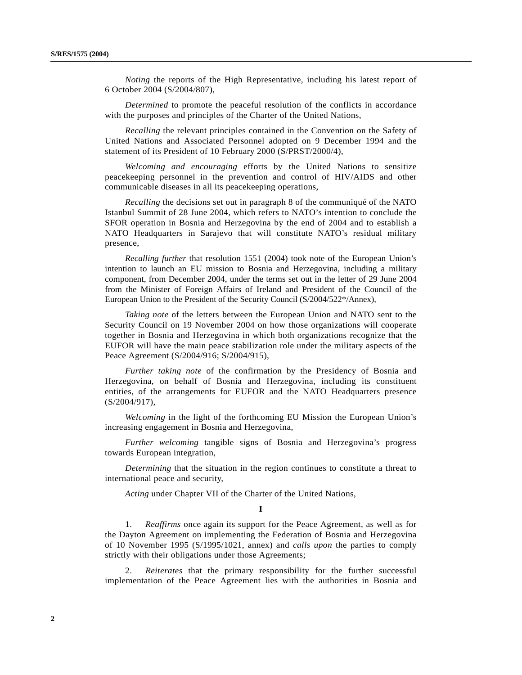*Noting* the reports of the High Representative, including his latest report of 6 October 2004 (S/2004/807),

*Determined* to promote the peaceful resolution of the conflicts in accordance with the purposes and principles of the Charter of the United Nations,

*Recalling* the relevant principles contained in the Convention on the Safety of United Nations and Associated Personnel adopted on 9 December 1994 and the statement of its President of 10 February 2000 (S/PRST/2000/4),

*Welcoming and encouraging* efforts by the United Nations to sensitize peacekeeping personnel in the prevention and control of HIV/AIDS and other communicable diseases in all its peacekeeping operations,

*Recalling* the decisions set out in paragraph 8 of the communiqué of the NATO Istanbul Summit of 28 June 2004, which refers to NATO's intention to conclude the SFOR operation in Bosnia and Herzegovina by the end of 2004 and to establish a NATO Headquarters in Sarajevo that will constitute NATO's residual military presence,

*Recalling further* that resolution 1551 (2004) took note of the European Union's intention to launch an EU mission to Bosnia and Herzegovina, including a military component, from December 2004, under the terms set out in the letter of 29 June 2004 from the Minister of Foreign Affairs of Ireland and President of the Council of the European Union to the President of the Security Council (S/2004/522\*/Annex),

*Taking note* of the letters between the European Union and NATO sent to the Security Council on 19 November 2004 on how those organizations will cooperate together in Bosnia and Herzegovina in which both organizations recognize that the EUFOR will have the main peace stabilization role under the military aspects of the Peace Agreement (S/2004/916; S/2004/915),

*Further taking note* of the confirmation by the Presidency of Bosnia and Herzegovina, on behalf of Bosnia and Herzegovina, including its constituent entities, of the arrangements for EUFOR and the NATO Headquarters presence (S/2004/917),

*Welcoming* in the light of the forthcoming EU Mission the European Union's increasing engagement in Bosnia and Herzegovina,

*Further welcoming* tangible signs of Bosnia and Herzegovina's progress towards European integration,

*Determining* that the situation in the region continues to constitute a threat to international peace and security,

*Acting* under Chapter VII of the Charter of the United Nations,

## **I**

1. *Reaffirms* once again its support for the Peace Agreement, as well as for the Dayton Agreement on implementing the Federation of Bosnia and Herzegovina of 10 November 1995 (S/1995/1021, annex) and *calls upon* the parties to comply strictly with their obligations under those Agreements;

2. *Reiterates* that the primary responsibility for the further successful implementation of the Peace Agreement lies with the authorities in Bosnia and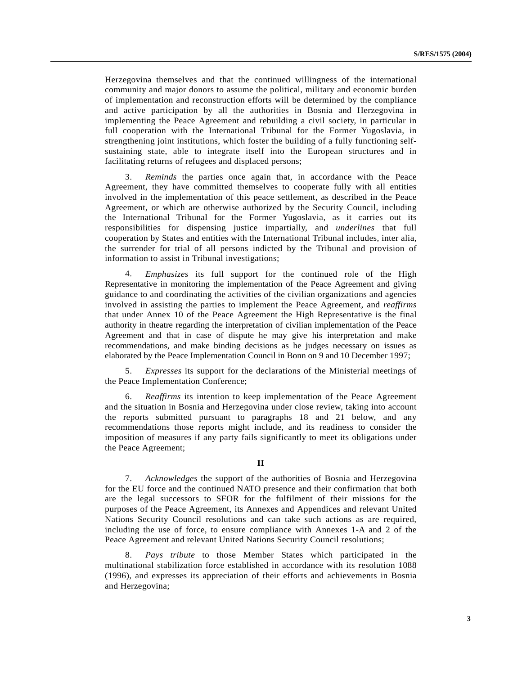Herzegovina themselves and that the continued willingness of the international community and major donors to assume the political, military and economic burden of implementation and reconstruction efforts will be determined by the compliance and active participation by all the authorities in Bosnia and Herzegovina in implementing the Peace Agreement and rebuilding a civil society, in particular in full cooperation with the International Tribunal for the Former Yugoslavia, in strengthening joint institutions, which foster the building of a fully functioning selfsustaining state, able to integrate itself into the European structures and in facilitating returns of refugees and displaced persons;

3. *Reminds* the parties once again that, in accordance with the Peace Agreement, they have committed themselves to cooperate fully with all entities involved in the implementation of this peace settlement, as described in the Peace Agreement, or which are otherwise authorized by the Security Council, including the International Tribunal for the Former Yugoslavia, as it carries out its responsibilities for dispensing justice impartially, and *underlines* that full cooperation by States and entities with the International Tribunal includes, inter alia, the surrender for trial of all persons indicted by the Tribunal and provision of information to assist in Tribunal investigations;

4. *Emphasizes* its full support for the continued role of the High Representative in monitoring the implementation of the Peace Agreement and giving guidance to and coordinating the activities of the civilian organizations and agencies involved in assisting the parties to implement the Peace Agreement, and *reaffirms* that under Annex 10 of the Peace Agreement the High Representative is the final authority in theatre regarding the interpretation of civilian implementation of the Peace Agreement and that in case of dispute he may give his interpretation and make recommendations, and make binding decisions as he judges necessary on issues as elaborated by the Peace Implementation Council in Bonn on 9 and 10 December 1997;

5. *Expresses* its support for the declarations of the Ministerial meetings of the Peace Implementation Conference;

6. *Reaffirms* its intention to keep implementation of the Peace Agreement and the situation in Bosnia and Herzegovina under close review, taking into account the reports submitted pursuant to paragraphs 18 and 21 below, and any recommendations those reports might include, and its readiness to consider the imposition of measures if any party fails significantly to meet its obligations under the Peace Agreement;

7. *Acknowledges* the support of the authorities of Bosnia and Herzegovina for the EU force and the continued NATO presence and their confirmation that both are the legal successors to SFOR for the fulfilment of their missions for the purposes of the Peace Agreement, its Annexes and Appendices and relevant United Nations Security Council resolutions and can take such actions as are required, including the use of force, to ensure compliance with Annexes 1-A and 2 of the Peace Agreement and relevant United Nations Security Council resolutions;

8. *Pays tribute* to those Member States which participated in the multinational stabilization force established in accordance with its resolution 1088 (1996), and expresses its appreciation of their efforts and achievements in Bosnia and Herzegovina;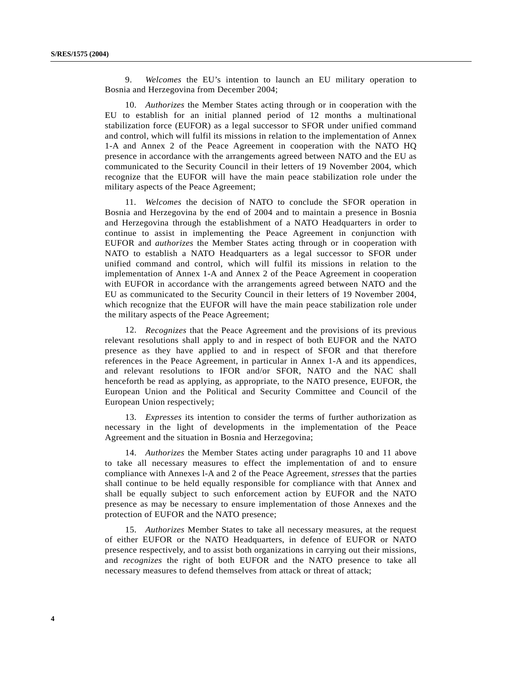9. *Welcomes* the EU's intention to launch an EU military operation to Bosnia and Herzegovina from December 2004;

10. *Authorizes* the Member States acting through or in cooperation with the EU to establish for an initial planned period of 12 months a multinational stabilization force (EUFOR) as a legal successor to SFOR under unified command and control, which will fulfil its missions in relation to the implementation of Annex 1-A and Annex 2 of the Peace Agreement in cooperation with the NATO HQ presence in accordance with the arrangements agreed between NATO and the EU as communicated to the Security Council in their letters of 19 November 2004, which recognize that the EUFOR will have the main peace stabilization role under the military aspects of the Peace Agreement;

11. *Welcomes* the decision of NATO to conclude the SFOR operation in Bosnia and Herzegovina by the end of 2004 and to maintain a presence in Bosnia and Herzegovina through the establishment of a NATO Headquarters in order to continue to assist in implementing the Peace Agreement in conjunction with EUFOR and *authorizes* the Member States acting through or in cooperation with NATO to establish a NATO Headquarters as a legal successor to SFOR under unified command and control, which will fulfil its missions in relation to the implementation of Annex 1-A and Annex 2 of the Peace Agreement in cooperation with EUFOR in accordance with the arrangements agreed between NATO and the EU as communicated to the Security Council in their letters of 19 November 2004, which recognize that the EUFOR will have the main peace stabilization role under the military aspects of the Peace Agreement;

12. *Recognizes* that the Peace Agreement and the provisions of its previous relevant resolutions shall apply to and in respect of both EUFOR and the NATO presence as they have applied to and in respect of SFOR and that therefore references in the Peace Agreement, in particular in Annex 1-A and its appendices, and relevant resolutions to IFOR and/or SFOR, NATO and the NAC shall henceforth be read as applying, as appropriate, to the NATO presence, EUFOR, the European Union and the Political and Security Committee and Council of the European Union respectively;

13. *Expresses* its intention to consider the terms of further authorization as necessary in the light of developments in the implementation of the Peace Agreement and the situation in Bosnia and Herzegovina;

14. *Authorizes* the Member States acting under paragraphs 10 and 11 above to take all necessary measures to effect the implementation of and to ensure compliance with Annexes l-A and 2 of the Peace Agreement, *stresses* that the parties shall continue to be held equally responsible for compliance with that Annex and shall be equally subject to such enforcement action by EUFOR and the NATO presence as may be necessary to ensure implementation of those Annexes and the protection of EUFOR and the NATO presence;

15. *Authorizes* Member States to take all necessary measures, at the request of either EUFOR or the NATO Headquarters, in defence of EUFOR or NATO presence respectively, and to assist both organizations in carrying out their missions, and *recognizes* the right of both EUFOR and the NATO presence to take all necessary measures to defend themselves from attack or threat of attack;